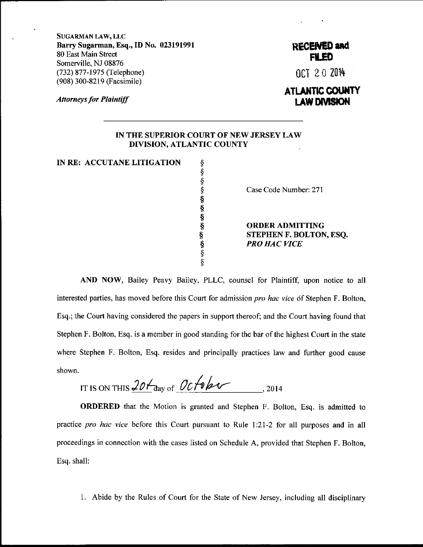SUGARMAN LAw, LLC Barry Sugarman, Esq., ID No. 023191991 80 East Main Street Somerville, NJ 08876 (732) 877 -1975 (Telephone) (908) 300-8219 (Facsimile)

**Attorneys for Plaintiff** 

## RECENED and 'TED

OCT 20 2014

## ATL**ANTIC COUNTY** aw Daviskon

## IN THE SUPERIOR COIJRT OF NEW JERSEY LAW DIVISION, ATLANTIC COUNTY

IN RE: ACCUTANE LITIGATION

\$ s \$ s s s s s s \$ \$

Case Code Number: 271

ORDERADMITTING STEPHEN F. BOLTON, ESQ. PRO HAC VICE

AND NOW, Bailey Peavy Bailey, PLLC, counsel for Plaintiff, upon notice to all interested parties, has moved before this Court for admission pro hac vice df Stephen F. Bolton, Esq.; the Court having considered the papers in support thereof; and the Court having found that Stephen F. Bolton, Esq. is a member in good standing for the bar of the highest Court in the state where Stephen F. Bolton, Esq. resides and principally practices law and further good cause shown.

IT IS ON THIS 20  $t_{\text{day of}}$  October 2014

ORDERED that the Motion is granted and Stephen F. Bolton, Esq. is admitted to practice pro hac vice before this Court pursuant to Rule 1:21-2 for all purposes and in all proceedings in connection with the cases listed on Schedule A, provided that Stephen F. Bolton, Esq. shall:

1. Abide by the Rules of Court for the State of New Jersey, including all disciplinary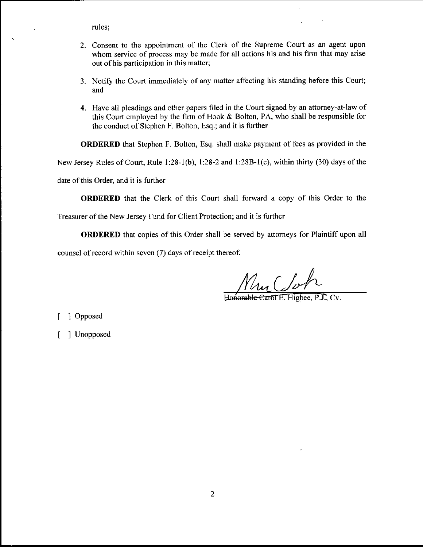rules;

- 2. Consent to the appointment of the Clerk of the Supreme Court as an agent upon whom service of process may be made for all actions his and his firm that may arise out of his participation in this matter;
- 3. Notify the Court immediately of any matter affecting his standing before this Court; and
- 4. Have all pleadings and other papers filed in the Court signed by an attorney-at-law of this Court employed by the firm of Hook & Bolton, PA, who shall be responsible for the conduct of Stephen F. Bolton, Esq.; and it is further

ORDERED that Stephen F. Bolton, Esq. shall make payment of fees as provided in the

New Jersey Rules of Court, Rule 1:28-1(b), 1:28-2 and 1:28B-1(e), within thirty (30) days of the

date of this Order, and it is further

ORDERED that the Clerk of this Court shall forward a copy of this Order to the

Treasurer of the New Jersey Fund for Client Protection; and it is further

ORDERED that copies of this Order shall be served by attorneys for Plaintiff upon all

counsel of record within seven (7) days of receipt thereof.

Mur Clo

Honorable Carol E. Higbee, P.J., Cv.

[ ] Opposed

[ ] Unopposed